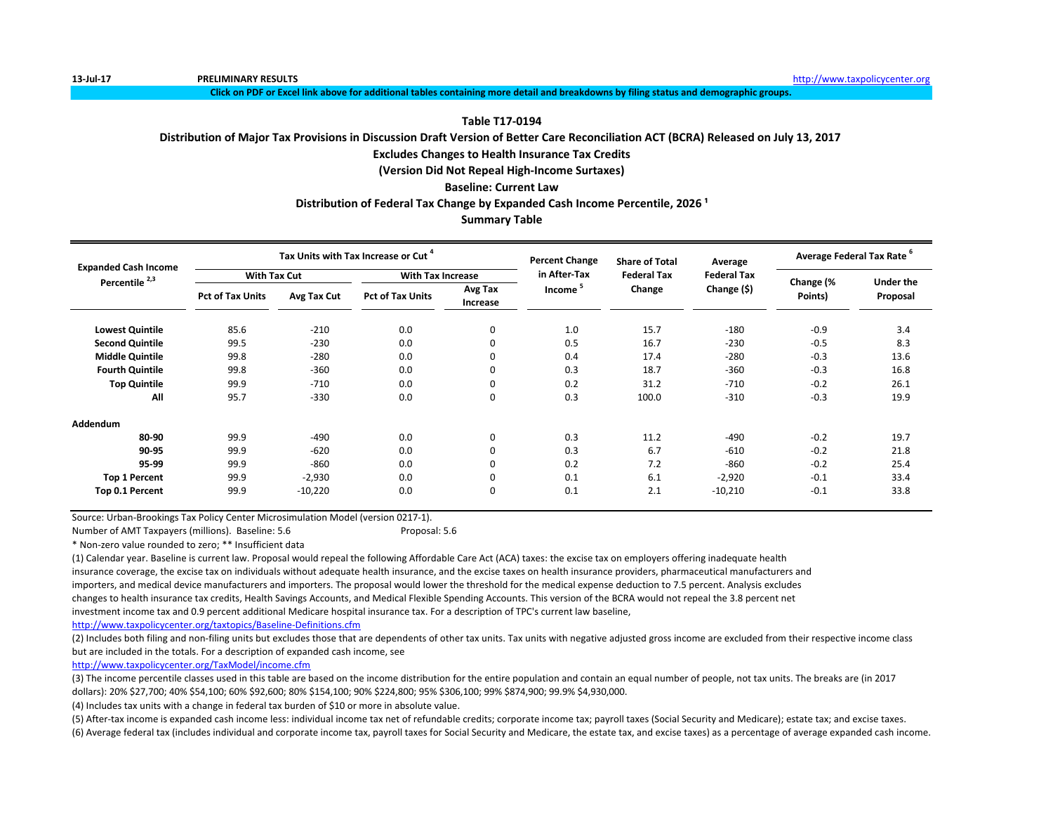**13-Jul-17 PRELIMINARY RESULTS** [http://www.t](http://www.taxpolicycenter.org/)axpolicycenter.org

**Click on PDF or Excel link above for additional tables containing more detail and breakdowns by filing status and demographic groups.**

# **Table T17-0194**

# **Distribution of Major Tax Provisions in Discussion Draft Version of Better Care Reconciliation ACT (BCRA) Released on July 13, 2017**

# **Excludes Changes to Health Insurance Tax Credits**

**(Version Did Not Repeal High-Income Surtaxes)**

# **Baseline: Current Law**

# **Distribution of Federal Tax Change by Expanded Cash Income Percentile, 2026<sup>1</sup>**

# **Summary Table**

| <b>Expanded Cash Income</b> |                         |             | Tax Units with Tax Increase or Cut |                     | <b>Percent Change</b> | <b>Share of Total</b> | Average            | Average Federal Tax Rate <sup>6</sup> |                  |  |
|-----------------------------|-------------------------|-------------|------------------------------------|---------------------|-----------------------|-----------------------|--------------------|---------------------------------------|------------------|--|
| Percentile <sup>2,3</sup>   | <b>With Tax Cut</b>     |             | <b>With Tax Increase</b>           |                     | in After Tax          | <b>Federal Tax</b>    | <b>Federal Tax</b> |                                       | <b>Under the</b> |  |
|                             | <b>Pct of Tax Units</b> | Avg Tax Cut | <b>Pct of Tax Units</b>            | Avg Tax<br>Increase | Income <sup>5</sup>   | Change                | Change (\$)        | Change (%<br>Points)                  | Proposal         |  |
| <b>Lowest Quintile</b>      | 85.6                    | $-210$      | 0.0                                | 0                   | 1.0                   | 15.7                  | $-180$             | $-0.9$                                | 3.4              |  |
| <b>Second Quintile</b>      | 99.5                    | $-230$      | 0.0                                | 0                   | 0.5                   | 16.7                  | $-230$             | $-0.5$                                | 8.3              |  |
| <b>Middle Quintile</b>      | 99.8                    | $-280$      | 0.0                                | 0                   | 0.4                   | 17.4                  | $-280$             | $-0.3$                                | 13.6             |  |
| <b>Fourth Quintile</b>      | 99.8                    | $-360$      | 0.0                                | 0                   | 0.3                   | 18.7                  | $-360$             | $-0.3$                                | 16.8             |  |
| <b>Top Quintile</b>         | 99.9                    | $-710$      | 0.0                                | 0                   | 0.2                   | 31.2                  | $-710$             | $-0.2$                                | 26.1             |  |
| All                         | 95.7                    | $-330$      | 0.0                                | 0                   | 0.3                   | 100.0                 | $-310$             | $-0.3$                                | 19.9             |  |
| Addendum                    |                         |             |                                    |                     |                       |                       |                    |                                       |                  |  |
| 80-90                       | 99.9                    | $-490$      | 0.0                                | 0                   | 0.3                   | 11.2                  | $-490$             | $-0.2$                                | 19.7             |  |
| 90-95                       | 99.9                    | $-620$      | 0.0                                | 0                   | 0.3                   | 6.7                   | $-610$             | $-0.2$                                | 21.8             |  |
| 95 99                       | 99.9                    | $-860$      | 0.0                                | 0                   | 0.2                   | 7.2                   | $-860$             | $-0.2$                                | 25.4             |  |
| <b>Top 1 Percent</b>        | 99.9                    | $-2,930$    | 0.0                                | 0                   | 0.1                   | 6.1                   | $-2,920$           | $-0.1$                                | 33.4             |  |
| Top 0.1 Percent             | 99.9                    | $-10,220$   | 0.0                                | 0                   | 0.1                   | 2.1                   | $-10,210$          | $-0.1$                                | 33.8             |  |

Source: Urban-Brookings Tax Policy Center Microsimulation Model (version 0217-1).

Number of AMT Taxpayers (millions). Baseline: 5.6 Proposal: 5.6

\* Non-zero value rounded to zero; \*\* Insufficient data

(1) Calendar year. Baseline is current law. Proposal would repeal the following Affordable Care Act (ACA) taxes: the excise tax on employers offering inadequate health insurance coverage, the excise tax on individuals without adequate health insurance, and the excise taxes on health insurance providers, pharmaceutical manufacturers and importers, and medical device manufacturers and importers. The proposal would lower the threshold for the medical expense deduction to 7.5 percent. Analysis excludes changes to health insurance tax credits, Health Savings Accounts, and Medical Flexible Spending Accounts. This version of the BCRA would not repeal the 3.8 percent net investment income tax and 0.9 percent additional Medicare hospital insurance tax. For a description of TPC's current law baseline,

<http://www.taxpolicycenter.org/taxtopics/Baseline-Definitions.cfm>

(2) Includes both filing and non-filing units but excludes those that are dependents of other tax units. Tax units with negative adjusted gross income are excluded from their respective income class but are included in the totals. For a description of expanded cash income, see

[http://www.taxpolicycente](http://www.taxpolicycenter.org/TaxModel/income.cfm)r.org/TaxModel/income.cfm

(3) The income percentile classes used in this table are based on the income distribution for the entire population and contain an equal number of people, not tax units. The breaks are (in 2017 dollars): 20% \$27,700; 40% \$54,100; 60% \$92,600; 80% \$154,100; 90% \$224,800; 95% \$306,100; 99% \$874,900; 99.9% \$4,930,000.

(4) Includes tax units with a change in federal tax burden of \$10 or more in absolute value.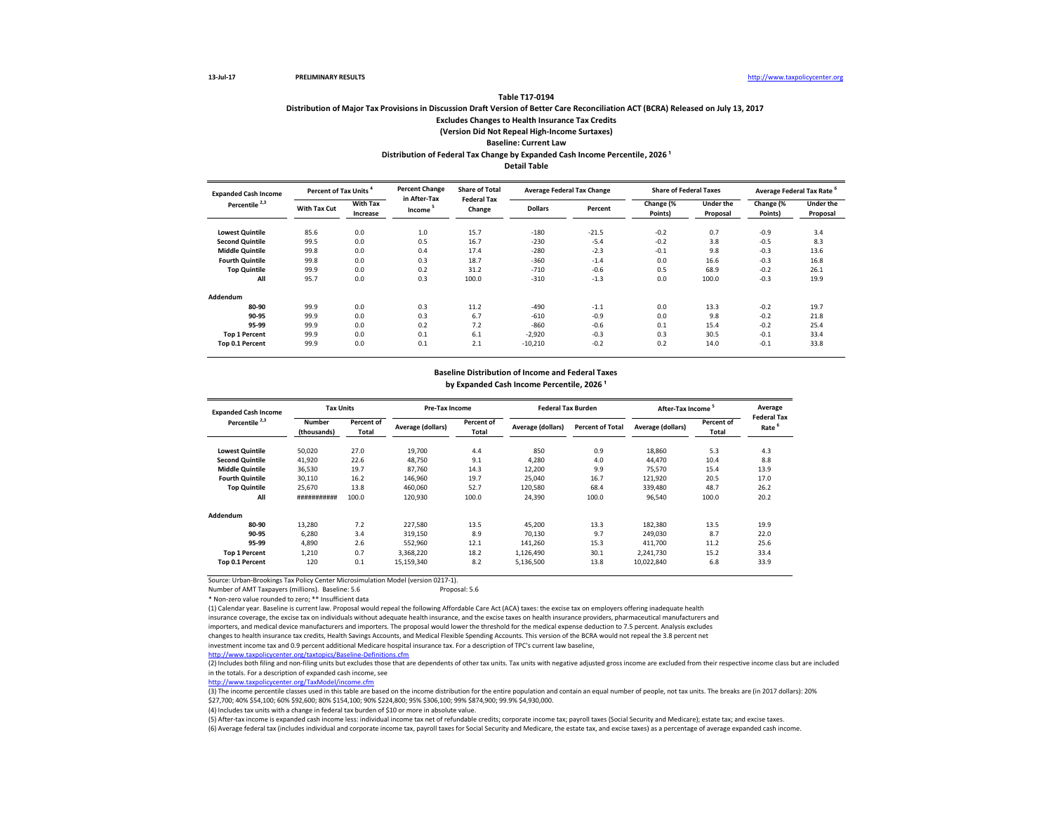# **Distribution of Major Tax Provisions in Discussion Draft Version of Better Care Reconciliation ACT (BCRA) Released on July 13, 2017 Excludes Changes to Health Insurance Tax Credits (Version Did Not Repeal High-Income Surtaxes) Baseline: Current Law** Distribution of Federal Tax Change by Expanded Cash Income Percentile, 2026<sup>1</sup>

**Table T17-0194**

**Detail Table**

| <b>Expanded Cash Income</b> | <b>Percent of Tax Units</b> |                      | <b>Percent Change</b><br>in After-Tax | <b>Share of Total</b><br><b>Federal Tax</b> |                | <b>Average Federal Tax Change</b> | <b>Share of Federal Taxes</b> |                              | Average Federal Tax Rate |                              |
|-----------------------------|-----------------------------|----------------------|---------------------------------------|---------------------------------------------|----------------|-----------------------------------|-------------------------------|------------------------------|--------------------------|------------------------------|
| Percentile <sup>2,3</sup>   | With Tax Cut                | With Tax<br>Increase | Income <sup>5</sup>                   | Change                                      | <b>Dollars</b> | Percent                           | Change (%<br>Points)          | <b>Under the</b><br>Proposal | Change (%<br>Points)     | <b>Under the</b><br>Proposal |
| <b>Lowest Quintile</b>      | 85.6                        | 0.0                  | 1.0                                   | 15.7                                        | $-180$         | $-21.5$                           | $-0.2$                        | 0.7                          | $-0.9$                   | 3.4                          |
| <b>Second Quintile</b>      | 99.5                        | 0.0                  | 0.5                                   | 16.7                                        | $-230$         | $-5.4$                            | $-0.2$                        | 3.8                          | $-0.5$                   | 8.3                          |
| <b>Middle Quintile</b>      | 99.8                        | 0.0                  | 0.4                                   | 17.4                                        | $-280$         | $-2.3$                            | $-0.1$                        | 9.8                          | $-0.3$                   | 13.6                         |
| <b>Fourth Quintile</b>      | 99.8                        | 0.0                  | 0.3                                   | 18.7                                        | $-360$         | $-1.4$                            | 0.0                           | 16.6                         | $-0.3$                   | 16.8                         |
| <b>Top Quintile</b>         | 99.9                        | 0.0                  | 0.2                                   | 31.2                                        | $-710$         | $-0.6$                            | 0.5                           | 68.9                         | $-0.2$                   | 26.1                         |
| All                         | 95.7                        | 0.0                  | 0.3                                   | 100.0                                       | $-310$         | $-1.3$                            | 0.0                           | 100.0                        | $-0.3$                   | 19.9                         |
| Addendum                    |                             |                      |                                       |                                             |                |                                   |                               |                              |                          |                              |
| 80-90                       | 99.9                        | 0.0                  | 0.3                                   | 11.2                                        | $-490$         | $-1.1$                            | 0.0                           | 13.3                         | $-0.2$                   | 19.7                         |
| 90-95                       | 99.9                        | 0.0                  | 0.3                                   | 6.7                                         | $-610$         | $-0.9$                            | 0.0                           | 9.8                          | $-0.2$                   | 21.8                         |
| 95-99                       | 99.9                        | 0.0                  | 0.2                                   | 7.2                                         | $-860$         | $-0.6$                            | 0.1                           | 15.4                         | $-0.2$                   | 25.4                         |
| <b>Top 1 Percent</b>        | 99.9                        | 0.0                  | 0.1                                   | 6.1                                         | $-2,920$       | $-0.3$                            | 0.3                           | 30.5                         | $-0.1$                   | 33.4                         |
| Top 0.1 Percent             | 99.9                        | 0.0                  | 0.1                                   | 2.1                                         | $-10,210$      | $-0.2$                            | 0.2                           | 14.0                         | $-0.1$                   | 33.8                         |

## **Baseline Distribution of Income and Federal Taxes**

by Expanded Cash Income Percentile, 2026<sup>1</sup>

| <b>Expanded Cash Income</b> | <b>Tax Units</b>             |                     |                   | Pre-Tax Income      |                   | <b>Federal Tax Burden</b> | After-Tax Income <sup>5</sup> |                     | Average<br><b>Federal Tax</b> |
|-----------------------------|------------------------------|---------------------|-------------------|---------------------|-------------------|---------------------------|-------------------------------|---------------------|-------------------------------|
| Percentile <sup>2,3</sup>   | <b>Number</b><br>(thousands) | Percent of<br>Total | Average (dollars) | Percent of<br>Total | Average (dollars) | <b>Percent of Total</b>   | Average (dollars)             | Percent of<br>Total | Rate                          |
| <b>Lowest Quintile</b>      | 50,020                       | 27.0                | 19.700            | 4.4                 | 850               | 0.9                       | 18,860                        | 5.3                 | 4.3                           |
| <b>Second Quintile</b>      | 41,920                       | 22.6                | 48.750            | 9.1                 | 4.280             | 4.0                       | 44,470                        | 10.4                | 8.8                           |
| <b>Middle Quintile</b>      | 36,530                       | 19.7                | 87.760            | 14.3                | 12,200            | 9.9                       | 75,570                        | 15.4                | 13.9                          |
| <b>Fourth Quintile</b>      | 30,110                       | 16.2                | 146,960           | 19.7                | 25.040            | 16.7                      | 121,920                       | 20.5                | 17.0                          |
| <b>Top Quintile</b>         | 25.670                       | 13.8                | 460.060           | 52.7                | 120,580           | 68.4                      | 339,480                       | 48.7                | 26.2                          |
| All                         | ###########                  | 100.0               | 120.930           | 100.0               | 24,390            | 100.0                     | 96,540                        | 100.0               | 20.2                          |
| Addendum                    |                              |                     |                   |                     |                   |                           |                               |                     |                               |
| 80-90                       | 13,280                       | 7.2                 | 227.580           | 13.5                | 45,200            | 13.3                      | 182,380                       | 13.5                | 19.9                          |
| 90-95                       | 6,280                        | 3.4                 | 319,150           | 8.9                 | 70.130            | 9.7                       | 249,030                       | 8.7                 | 22.0                          |
| 95-99                       | 4.890                        | 2.6                 | 552.960           | 12.1                | 141.260           | 15.3                      | 411.700                       | 11.2                | 25.6                          |
| <b>Top 1 Percent</b>        | 1.210                        | 0.7                 | 3.368.220         | 18.2                | 1.126.490         | 30.1                      | 2.241.730                     | 15.2                | 33.4                          |
| Top 0.1 Percent             | 120                          | 0.1                 | 15,159,340        | 8.2                 | 5,136,500         | 13.8                      | 10,022,840                    | 6.8                 | 33.9                          |

Source: Urban-Brookings Tax Policy Center Microsimulation Model (version 0217-1).

Number of AMT Taxpayers (millions). Baseline: 5.6

\* Non-zero value rounded to zero; \*\* Insufficient data

(1) Calendar year. Baseline is current law. Proposal would repeal the following Affordable Care Act (ACA) taxes: the excise tax on employers offering inadequate health insurance coverage, the excise tax on individuals without adequate health insurance, and the excise taxes on health insurance providers, pharmaceutical manufacturers and

importers, and medical device manufacturers and importers. The proposal would lower the threshold for the medical expense deduction to 7.5 percent. Analysis excludes changes to health insurance tax credits, Health Savings Accounts, and Medical Flexible Spending Accounts. This version of the BCRA would not repeal the 3.8 percent net investment income tax and 0.9 percent additional Medicare hospital insurance tax. For a description of TPC's current law baseline,

<http://www.taxpolicycenter.org/taxtopics/Baseline-Definitions.cfm>

 $\frac{1}{2}$  Includes both filing and non-filing units but excludes those that are dependents of other tax units. Tax units with negative adjusted gross income are excluded from their respective income class but are included in the totals. For a description of expanded cash income, see

[http://www.taxpolicycente](http://www.taxpolicycenter.org/TaxModel/income.cfm)r.org/TaxModel/income.cfm

(3) The income percentile classes used in this table are based on the income distribution for the entire population and contain an equal number of people, not tax units. The breaks are (in 2017 dollars): 20% \$27,700; 40% \$54,100; 60% \$92,600; 80% \$154,100; 90% \$224,800; 95% \$306,100; 99% \$874,900; 99.9% \$4,930,000.

(4) Includes tax units with a change in federal tax burden of \$10 or more in absolute value.

(6) Average federal tax (includes individual and corporate income tax, payroll taxes for Social Security and Medicare, the estate tax, and excise taxes) as a percentage of average expanded cash income. (5) After-tax income is expanded cash income less: individual income tax net of refundable credits; corporate income tax; payroll taxes (Social Security and Medicare); estate tax; and excise taxes.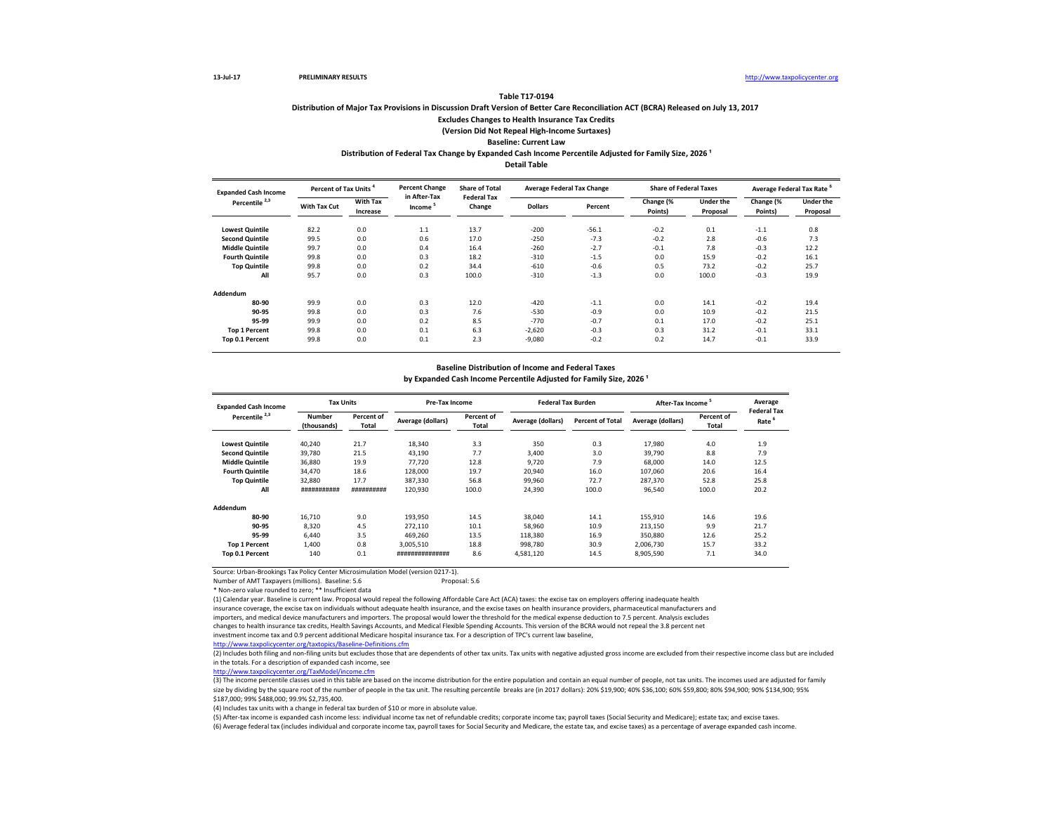## **Distribution of Major Tax Provisions in Discussion Draft Version of Better Care Reconciliation ACT (BCRA) Released on July 13, 2017 Excludes Changes to Health Insurance Tax Credits (Version Did Not Repeal High-Income Surtaxes)**

# **Baseline: Current Law**

**Distribution of Federal Tax Change by Expanded Cash Income Percentile Adjusted for Family Size, 2026 ¹**

**Detail Table**

| <b>Expanded Cash Income</b> | <b>Percent of Tax Units</b> |                             | <b>Percent Change</b>  | <b>Share of Total</b><br><b>Federal Tax</b> |                | <b>Average Federal Tax Change</b> | <b>Share of Federal Taxes</b> |                              | Average Federal Tax Rate |                              |
|-----------------------------|-----------------------------|-----------------------------|------------------------|---------------------------------------------|----------------|-----------------------------------|-------------------------------|------------------------------|--------------------------|------------------------------|
| Percentile <sup>2,3</sup>   | With Tax Cut                | <b>With Tax</b><br>Increase | in After-Tax<br>Income | Change                                      | <b>Dollars</b> | Percent                           | Change (%<br>Points)          | <b>Under the</b><br>Proposal | Change (%<br>Points)     | <b>Under the</b><br>Proposal |
| <b>Lowest Quintile</b>      | 82.2                        | 0.0                         | 1.1                    | 13.7                                        | $-200$         | $-56.1$                           | $-0.2$                        | 0.1                          | $-1.1$                   | 0.8                          |
| <b>Second Quintile</b>      | 99.5                        | 0.0                         | 0.6                    | 17.0                                        | $-250$         | $-7.3$                            | $-0.2$                        | 2.8                          | $-0.6$                   | 7.3                          |
| <b>Middle Quintile</b>      | 99.7                        | 0.0                         | 0.4                    | 16.4                                        | $-260$         | $-2.7$                            | $-0.1$                        | 7.8                          | $-0.3$                   | 12.2                         |
| <b>Fourth Quintile</b>      | 99.8                        | 0.0                         | 0.3                    | 18.2                                        | $-310$         | $-1.5$                            | 0.0                           | 15.9                         | $-0.2$                   | 16.1                         |
| <b>Top Quintile</b>         | 99.8                        | 0.0                         | 0.2                    | 34.4                                        | $-610$         | $-0.6$                            | 0.5                           | 73.2                         | $-0.2$                   | 25.7                         |
| All                         | 95.7                        | 0.0                         | 0.3                    | 100.0                                       | $-310$         | $-1.3$                            | 0.0                           | 100.0                        | $-0.3$                   | 19.9                         |
| Addendum                    |                             |                             |                        |                                             |                |                                   |                               |                              |                          |                              |
| 80-90                       | 99.9                        | 0.0                         | 0.3                    | 12.0                                        | $-420$         | $-1.1$                            | 0.0                           | 14.1                         | $-0.2$                   | 19.4                         |
| 90-95                       | 99.8                        | 0.0                         | 0.3                    | 7.6                                         | $-530$         | $-0.9$                            | 0.0                           | 10.9                         | $-0.2$                   | 21.5                         |
| 95-99                       | 99.9                        | 0.0                         | 0.2                    | 8.5                                         | $-770$         | $-0.7$                            | 0.1                           | 17.0                         | $-0.2$                   | 25.1                         |
| <b>Top 1 Percent</b>        | 99.8                        | 0.0                         | 0.1                    | 6.3                                         | $-2,620$       | $-0.3$                            | 0.3                           | 31.2                         | $-0.1$                   | 33.1                         |
| Top 0.1 Percent             | 99.8                        | 0.0                         | 0.1                    | 2.3                                         | $-9,080$       | $-0.2$                            | 0.2                           | 14.7                         | $-0.1$                   | 33.9                         |

#### **Baseline Distribution of Income and Federal Taxes**

by Expanded Cash Income Percentile Adjusted for Family Size, 2026<sup>1</sup>

| <b>Expanded Cash Income</b> | <b>Tax Units</b>      |                     | Pre-Tax Income    |                     | <b>Federal Tax Burden</b> |                         | After-Tax Income <sup>5</sup> |                     | Average                                 |
|-----------------------------|-----------------------|---------------------|-------------------|---------------------|---------------------------|-------------------------|-------------------------------|---------------------|-----------------------------------------|
| Percentile <sup>2,3</sup>   | Number<br>(thousands) | Percent of<br>Total | Average (dollars) | Percent of<br>Total | Average (dollars)         | <b>Percent of Total</b> | Average (dollars)             | Percent of<br>Total | <b>Federal Tax</b><br>Rate <sup>6</sup> |
| <b>Lowest Quintile</b>      | 40,240                | 21.7                | 18,340            | 3.3                 | 350                       | 0.3                     | 17,980                        | 4.0                 | 1.9                                     |
| <b>Second Quintile</b>      | 39.780                | 21.5                | 43,190            | 7.7                 | 3.400                     | 3.0                     | 39,790                        | 8.8                 | 7.9                                     |
| <b>Middle Quintile</b>      | 36,880                | 19.9                | 77.720            | 12.8                | 9.720                     | 7.9                     | 68,000                        | 14.0                | 12.5                                    |
| <b>Fourth Quintile</b>      | 34,470                | 18.6                | 128,000           | 19.7                | 20,940                    | 16.0                    | 107.060                       | 20.6                | 16.4                                    |
| <b>Top Quintile</b>         | 32,880                | 17.7                | 387,330           | 56.8                | 99,960                    | 72.7                    | 287,370                       | 52.8                | 25.8                                    |
| All                         | ###########           | ##########          | 120,930           | 100.0               | 24,390                    | 100.0                   | 96,540                        | 100.0               | 20.2                                    |
| Addendum                    |                       |                     |                   |                     |                           |                         |                               |                     |                                         |
| 80-90                       | 16.710                | 9.0                 | 193,950           | 14.5                | 38,040                    | 14.1                    | 155,910                       | 14.6                | 19.6                                    |
| 90-95                       | 8,320                 | 4.5                 | 272,110           | 10.1                | 58,960                    | 10.9                    | 213,150                       | 9.9                 | 21.7                                    |
| 95-99                       | 6.440                 | 3.5                 | 469.260           | 13.5                | 118,380                   | 16.9                    | 350.880                       | 12.6                | 25.2                                    |
| <b>Top 1 Percent</b>        | 1,400                 | 0.8                 | 3,005,510         | 18.8                | 998,780                   | 30.9                    | 2,006,730                     | 15.7                | 33.2                                    |
| Top 0.1 Percent             | 140                   | 0.1                 | ###############   | 8.6                 | 4,581,120                 | 14.5                    | 8,905,590                     | 7.1                 | 34.0                                    |

Source: Urban-Brookings Tax Policy Center Microsimulation Model (version 0217-1). Number of AMT Taxpayers (millions). Baseline: 5.6

\* Non-zero value rounded to zero; \*\* Insufficient data

(1) Calendar year. Baseline is current law. Proposal would repeal the following Affordable Care Act (ACA) taxes: the excise tax on employers offering inadequate health insurance coverage, the excise tax on individuals without adequate health insurance, and the excise taxes on health insurance providers, pharmaceutical manufacturers and importers, and medical device manufacturers and importers. The proposal would lower the threshold for the medical expense deduction to 7.5 percent. Analysis excludes changes to health insurance tax credits, Health Savings Accounts, and Medical Flexible Spending Accounts. This version of the BCRA would not repeal the 3.8 percent net

investment income tax and 0.9 percent additional Medicare hospital insurance tax. For a description of TPC's current law baseline,

(2) Includes both filing and non-filing units but excludes those that are dependents of other tax units. Tax units with negative adjusted gross income are excluded from their respective income class but are included in the totals. For a description of expanded cash income, see

[http://www.taxpolicycente](http://www.taxpolicycenter.org/TaxModel/income.cfm)r.org/TaxModel/income.cfm

(3) The income percentile classes used in this table are based on the income distribution for the entire population and contain an equal number of people, not tax units. The incomes used are adjusted for family size by dividing by the square root of the number of people in the tax unit. The resulting percentile breaks are (in 2017 dollars): 20% \$19,900; 40% \$36,100; 60% \$59,800; 80% \$94,900; 90% \$134,900; 95% \$187,000; 99% \$488,000; 99.9% \$2,735,400.

(4) Includes tax units with a change in federal tax burden of \$10 or more in absolute value.

(5) After-tax income is expanded cash income less: individual income tax net of refundable credits; corporate income tax; payroll taxes (Social Security and Medicare); estate tax; and excise taxes.

(6) Average federal tax (includes individual and corporate income tax, payroll taxes for Social Security and Medicare, the estate tax, and excise taxes) as a percentage of average expanded cash income.

<http://www.taxpolicycenter.org/taxtopics/Baseline-Definitions.cfm>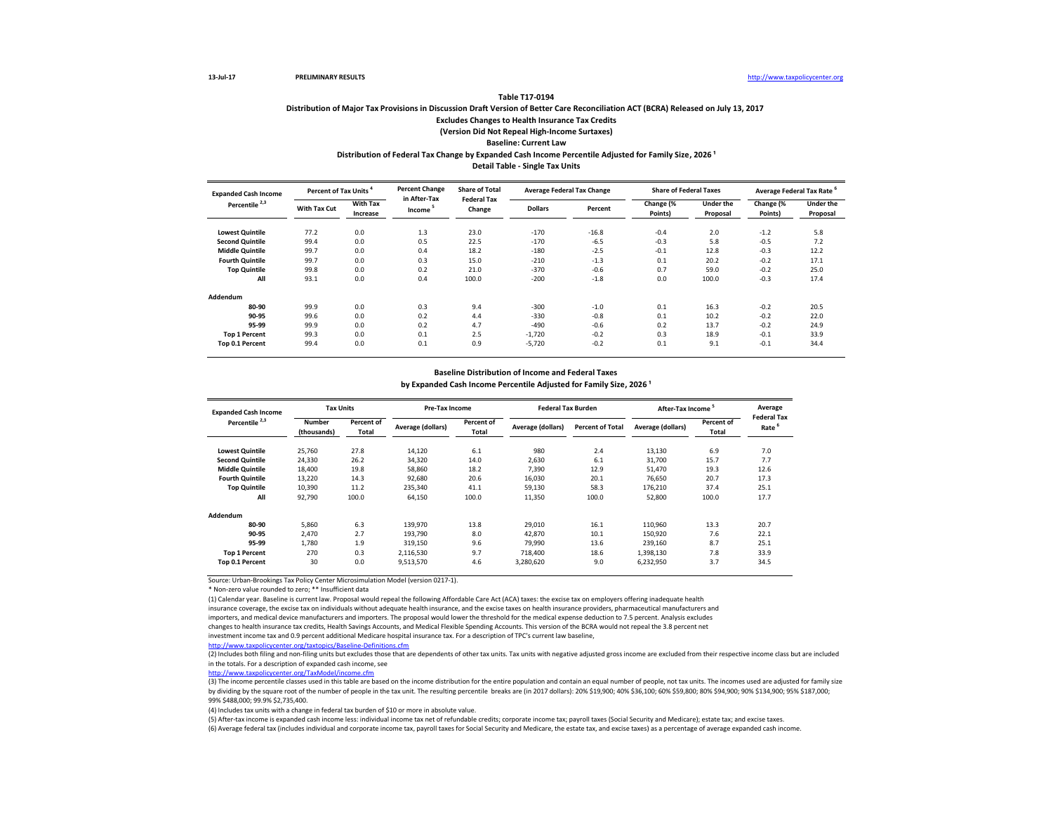## **Distribution of Major Tax Provisions in Discussion Draft Version of Better Care Reconciliation ACT (BCRA) Released on July 13, 2017 Excludes Changes to Health Insurance Tax Credits (Version Did Not Repeal High-Income Surtaxes) Baseline: Current Law Distribution of Federal Tax Change by Expanded Cash Income Percentile Adjusted for Family Size, 2026 ¹**

**Detail Table - Single Tax Units**

| <b>Expanded Cash Income</b> |              | <b>Percent of Tax Units</b> |                                     | <b>Percent Change</b><br><b>Share of Total</b><br><b>Federal Tax</b> |                | <b>Average Federal Tax Change</b> | <b>Share of Federal Taxes</b> |                              | <b>Average Federal Tax Rate</b> |                              |
|-----------------------------|--------------|-----------------------------|-------------------------------------|----------------------------------------------------------------------|----------------|-----------------------------------|-------------------------------|------------------------------|---------------------------------|------------------------------|
| Percentile <sup>2,3</sup>   | With Tax Cut | With Tax<br>Increase        | in After-Tax<br>Income <sup>5</sup> | Change                                                               | <b>Dollars</b> | Percent                           | Change (%<br>Points)          | <b>Under the</b><br>Proposal | Change (%<br>Points)            | <b>Under the</b><br>Proposal |
| <b>Lowest Quintile</b>      | 77.2         | 0.0                         | 1.3                                 | 23.0                                                                 | $-170$         | $-16.8$                           | $-0.4$                        | 2.0                          | $-1.2$                          | 5.8                          |
| <b>Second Quintile</b>      | 99.4         | 0.0                         | 0.5                                 | 22.5                                                                 | $-170$         | $-6.5$                            | $-0.3$                        | 5.8                          | $-0.5$                          | 7.2                          |
| <b>Middle Quintile</b>      | 99.7         | 0.0                         | 0.4                                 | 18.2                                                                 | $-180$         | $-2.5$                            | $-0.1$                        | 12.8                         | $-0.3$                          | 12.2                         |
| <b>Fourth Quintile</b>      | 99.7         | 0.0                         | 0.3                                 | 15.0                                                                 | $-210$         | $-1.3$                            | 0.1                           | 20.2                         | $-0.2$                          | 17.1                         |
| <b>Top Quintile</b>         | 99.8         | 0.0                         | 0.2                                 | 21.0                                                                 | $-370$         | $-0.6$                            | 0.7                           | 59.0                         | $-0.2$                          | 25.0                         |
| All                         | 93.1         | 0.0                         | 0.4                                 | 100.0                                                                | $-200$         | $-1.8$                            | 0.0                           | 100.0                        | $-0.3$                          | 17.4                         |
| Addendum                    |              |                             |                                     |                                                                      |                |                                   |                               |                              |                                 |                              |
| 80-90                       | 99.9         | 0.0                         | 0.3                                 | 9.4                                                                  | $-300$         | $-1.0$                            | 0.1                           | 16.3                         | $-0.2$                          | 20.5                         |
| 90-95                       | 99.6         | 0.0                         | 0.2                                 | 4.4                                                                  | $-330$         | $-0.8$                            | 0.1                           | 10.2                         | $-0.2$                          | 22.0                         |
| 95-99                       | 99.9         | 0.0                         | 0.2                                 | 4.7                                                                  | $-490$         | $-0.6$                            | 0.2                           | 13.7                         | $-0.2$                          | 24.9                         |
| <b>Top 1 Percent</b>        | 99.3         | 0.0                         | 0.1                                 | 2.5                                                                  | $-1,720$       | $-0.2$                            | 0.3                           | 18.9                         | $-0.1$                          | 33.9                         |
| Top 0.1 Percent             | 99.4         | 0.0                         | 0.1                                 | 0.9                                                                  | $-5,720$       | $-0.2$                            | 0.1                           | 9.1                          | $-0.1$                          | 34.4                         |

### **Baseline Distribution of Income and Federal Taxes**

by Expanded Cash Income Percentile Adjusted for Family Size, 2026<sup>1</sup>

| <b>Expanded Cash Income</b> | <b>Tax Units</b>             |                     |                   | Pre-Tax Income             |                   | <b>Federal Tax Burden</b> | After-Tax Income  |                     | Average<br><b>Federal Tax</b> |
|-----------------------------|------------------------------|---------------------|-------------------|----------------------------|-------------------|---------------------------|-------------------|---------------------|-------------------------------|
| Percentile <sup>2,3</sup>   | <b>Number</b><br>(thousands) | Percent of<br>Total | Average (dollars) | Percent of<br><b>Total</b> | Average (dollars) | <b>Percent of Total</b>   | Average (dollars) | Percent of<br>Total | Rate                          |
| <b>Lowest Quintile</b>      | 25,760                       | 27.8                | 14,120            | 6.1                        | 980               | 2.4                       | 13,130            | 6.9                 | 7.0                           |
| <b>Second Quintile</b>      | 24,330                       | 26.2                | 34,320            | 14.0                       | 2.630             | 6.1                       | 31,700            | 15.7                | 7.7                           |
| <b>Middle Quintile</b>      | 18,400                       | 19.8                | 58,860            | 18.2                       | 7,390             | 12.9                      | 51,470            | 19.3                | 12.6                          |
| <b>Fourth Quintile</b>      | 13,220                       | 14.3                | 92,680            | 20.6                       | 16.030            | 20.1                      | 76.650            | 20.7                | 17.3                          |
| <b>Top Quintile</b>         | 10,390                       | 11.2                | 235,340           | 41.1                       | 59.130            | 58.3                      | 176.210           | 37.4                | 25.1                          |
| All                         | 92,790                       | 100.0               | 64,150            | 100.0                      | 11,350            | 100.0                     | 52,800            | 100.0               | 17.7                          |
| Addendum                    |                              |                     |                   |                            |                   |                           |                   |                     |                               |
| 80-90                       | 5,860                        | 6.3                 | 139,970           | 13.8                       | 29,010            | 16.1                      | 110,960           | 13.3                | 20.7                          |
| 90-95                       | 2.470                        | 2.7                 | 193,790           | 8.0                        | 42,870            | 10.1                      | 150,920           | 7.6                 | 22.1                          |
| 95-99                       | 1,780                        | 1.9                 | 319.150           | 9.6                        | 79,990            | 13.6                      | 239,160           | 8.7                 | 25.1                          |
| <b>Top 1 Percent</b>        | 270                          | 0.3                 | 2,116,530         | 9.7                        | 718,400           | 18.6                      | 1,398,130         | 7.8                 | 33.9                          |
| Top 0.1 Percent             | 30                           | 0.0                 | 9,513,570         | 4.6                        | 3,280,620         | 9.0                       | 6,232,950         | 3.7                 | 34.5                          |

Source: Urban-Brookings Tax Policy Center Microsimulation Model (version 0217-1).

\* Non-zero value rounded to zero; \*\* Insufficient data

(1) Calendar year. Baseline is current law. Proposal would repeal the following Affordable Care Act (ACA) taxes: the excise tax on employers offering inadequate health insurance coverage, the excise tax on individuals without adequate health insurance, and the excise taxes on health insurance providers, pharmaceutical manufacturers and

importers, and medical device manufacturers and importers. The proposal would lower the threshold for the medical expense deduction to 7.5 percent. Analysis excludes changes to health insurance tax credits, Health Savings Accounts, and Medical Flexible Spending Accounts. This version of the BCRA would not repeal the 3.8 percent net

investment income tax and 0.9 percent additional Medicare hospital insurance tax. For a description of TPC's current law baseline,

<http://www.taxpolicycenter.org/taxtopics/Baseline-Definitions.cfm>

(2) Includes both filing and non-filing units but excludes those that are dependents of other tax units. Tax units with negative adjusted gross income are excluded from their respective income class but are included in the totals. For a description of expanded cash income, see

[http://www.taxpolicycente](http://www.taxpolicycenter.org/TaxModel/income.cfm)r.org/TaxModel/income.cfm

(3) The income percentile classes used in this table are based on the income distribution for the entire population and contain an equal number of people, not tax units. The incomes used are adjusted for family size by dividing by the square root of the number of people in the tax unit. The resulting percentile breaks are (in 2017 dollars): 20% \$19,900; 40% \$36,100; 60% \$59,800; 80% \$94,900; 90% \$134,900; 95% \$187,000; 99% \$488,000; 99.9% \$2,735,400.

(4) Includes tax units with a change in federal tax burden of \$10 or more in absolute value.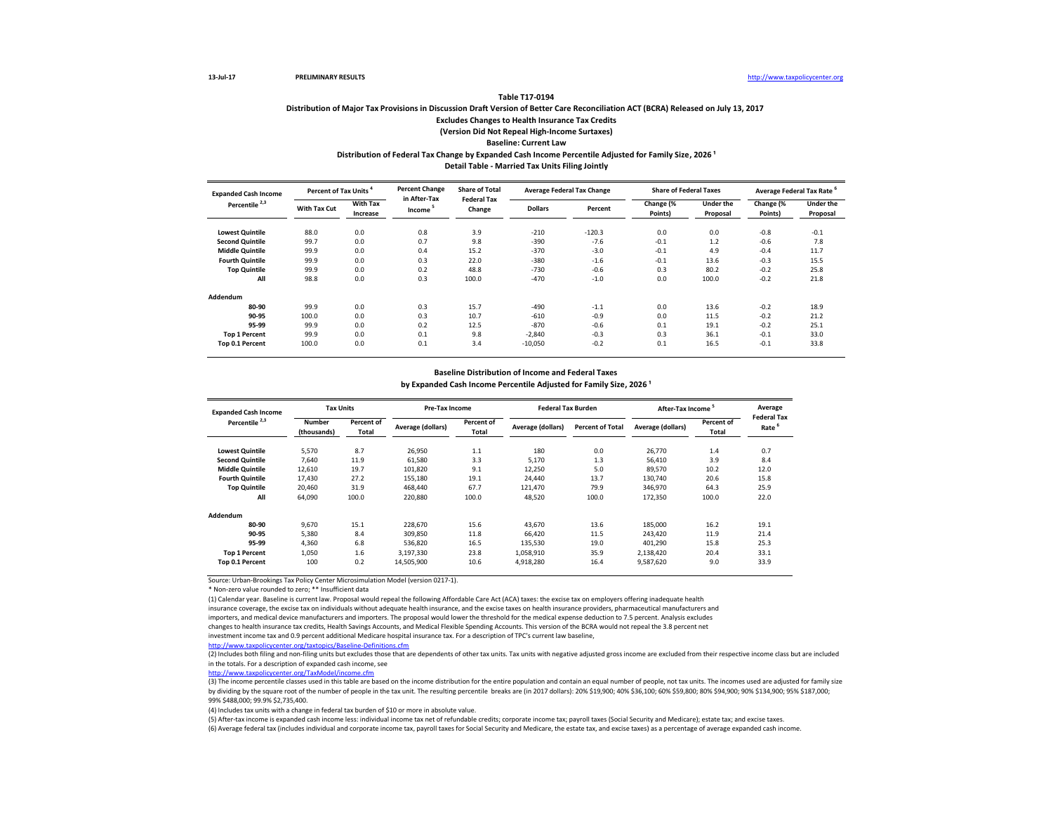## **Distribution of Major Tax Provisions in Discussion Draft Version of Better Care Reconciliation ACT (BCRA) Released on July 13, 2017 Excludes Changes to Health Insurance Tax Credits (Version Did Not Repeal High-Income Surtaxes) Baseline: Current Law Distribution of Federal Tax Change by Expanded Cash Income Percentile Adjusted for Family Size, 2026 ¹**

**Detail Table - Married Tax Units Filing Jointly**

| <b>Expanded Cash Income</b> |              | <b>Percent of Tax Units</b> |                                     | <b>Percent Change</b><br><b>Share of Total</b><br><b>Federal Tax</b> |                | <b>Average Federal Tax Change</b> | <b>Share of Federal Taxes</b> |                              | Average Federal Tax Rate |                              |
|-----------------------------|--------------|-----------------------------|-------------------------------------|----------------------------------------------------------------------|----------------|-----------------------------------|-------------------------------|------------------------------|--------------------------|------------------------------|
| Percentile <sup>2,3</sup>   | With Tax Cut | <b>With Tax</b><br>Increase | in After-Tax<br>Income <sup>5</sup> | Change                                                               | <b>Dollars</b> | Percent                           | Change (%<br>Points)          | <b>Under the</b><br>Proposal | Change (%<br>Points)     | <b>Under the</b><br>Proposal |
| <b>Lowest Quintile</b>      | 88.0         | 0.0                         | 0.8                                 | 3.9                                                                  | $-210$         | $-120.3$                          | 0.0                           | 0.0                          | $-0.8$                   | $-0.1$                       |
| <b>Second Quintile</b>      | 99.7         | 0.0                         | 0.7                                 | 9.8                                                                  | $-390$         | $-7.6$                            | $-0.1$                        | 1.2                          | $-0.6$                   | 7.8                          |
| <b>Middle Quintile</b>      | 99.9         | 0.0                         | 0.4                                 | 15.2                                                                 | $-370$         | $-3.0$                            | $-0.1$                        | 4.9                          | $-0.4$                   | 11.7                         |
| <b>Fourth Quintile</b>      | 99.9         | 0.0                         | 0.3                                 | 22.0                                                                 | $-380$         | $-1.6$                            | $-0.1$                        | 13.6                         | $-0.3$                   | 15.5                         |
| <b>Top Quintile</b>         | 99.9         | 0.0                         | 0.2                                 | 48.8                                                                 | $-730$         | $-0.6$                            | 0.3                           | 80.2                         | $-0.2$                   | 25.8                         |
| All                         | 98.8         | 0.0                         | 0.3                                 | 100.0                                                                | $-470$         | $-1.0$                            | 0.0                           | 100.0                        | $-0.2$                   | 21.8                         |
| Addendum                    |              |                             |                                     |                                                                      |                |                                   |                               |                              |                          |                              |
| 80-90                       | 99.9         | 0.0                         | 0.3                                 | 15.7                                                                 | $-490$         | $-1.1$                            | 0.0                           | 13.6                         | $-0.2$                   | 18.9                         |
| 90-95                       | 100.0        | 0.0                         | 0.3                                 | 10.7                                                                 | $-610$         | $-0.9$                            | 0.0                           | 11.5                         | $-0.2$                   | 21.2                         |
| 95-99                       | 99.9         | 0.0                         | 0.2                                 | 12.5                                                                 | $-870$         | $-0.6$                            | 0.1                           | 19.1                         | $-0.2$                   | 25.1                         |
| <b>Top 1 Percent</b>        | 99.9         | 0.0                         | 0.1                                 | 9.8                                                                  | $-2,840$       | $-0.3$                            | 0.3                           | 36.1                         | $-0.1$                   | 33.0                         |
| Top 0.1 Percent             | 100.0        | 0.0                         | 0.1                                 | 3.4                                                                  | $-10,050$      | $-0.2$                            | 0.1                           | 16.5                         | $-0.1$                   | 33.8                         |

### **Baseline Distribution of Income and Federal Taxes**

by Expanded Cash Income Percentile Adjusted for Family Size, 2026<sup>1</sup>

| <b>Expanded Cash Income</b> | <b>Tax Units</b>             |                     | Pre-Tax Income    |                     | <b>Federal Tax Burden</b> |                         | <b>After-Tax Income</b> |                     | Average                    |
|-----------------------------|------------------------------|---------------------|-------------------|---------------------|---------------------------|-------------------------|-------------------------|---------------------|----------------------------|
| Percentile <sup>2,3</sup>   | <b>Number</b><br>(thousands) | Percent of<br>Total | Average (dollars) | Percent of<br>Total | Average (dollars)         | <b>Percent of Total</b> | Average (dollars)       | Percent of<br>Total | <b>Federal Tax</b><br>Rate |
| <b>Lowest Quintile</b>      | 5,570                        | 8.7                 | 26,950            | 1.1                 | 180                       | 0.0                     | 26,770                  | 1.4                 | 0.7                        |
| <b>Second Quintile</b>      | 7.640                        | 11.9                | 61,580            | 3.3                 | 5.170                     | 1.3                     | 56,410                  | 3.9                 | 8.4                        |
| <b>Middle Quintile</b>      | 12,610                       | 19.7                | 101,820           | 9.1                 | 12,250                    | 5.0                     | 89,570                  | 10.2                | 12.0                       |
| <b>Fourth Quintile</b>      | 17.430                       | 27.2                | 155.180           | 19.1                | 24,440                    | 13.7                    | 130.740                 | 20.6                | 15.8                       |
| <b>Top Quintile</b>         | 20,460                       | 31.9                | 468,440           | 67.7                | 121,470                   | 79.9                    | 346,970                 | 64.3                | 25.9                       |
| All                         | 64,090                       | 100.0               | 220,880           | 100.0               | 48,520                    | 100.0                   | 172,350                 | 100.0               | 22.0                       |
| Addendum                    |                              |                     |                   |                     |                           |                         |                         |                     |                            |
| 80-90                       | 9.670                        | 15.1                | 228.670           | 15.6                | 43.670                    | 13.6                    | 185,000                 | 16.2                | 19.1                       |
| 90-95                       | 5,380                        | 8.4                 | 309,850           | 11.8                | 66,420                    | 11.5                    | 243,420                 | 11.9                | 21.4                       |
| 95-99                       | 4.360                        | 6.8                 | 536.820           | 16.5                | 135,530                   | 19.0                    | 401.290                 | 15.8                | 25.3                       |
| <b>Top 1 Percent</b>        | 1,050                        | 1.6                 | 3.197.330         | 23.8                | 1,058,910                 | 35.9                    | 2,138,420               | 20.4                | 33.1                       |
| Top 0.1 Percent             | 100                          | 0.2                 | 14,505,900        | 10.6                | 4,918,280                 | 16.4                    | 9.587.620               | 9.0                 | 33.9                       |

Source: Urban-Brookings Tax Policy Center Microsimulation Model (version 0217-1).

\* Non-zero value rounded to zero; \*\* Insufficient data

(1) Calendar year. Baseline is current law. Proposal would repeal the following Affordable Care Act (ACA) taxes: the excise tax on employers offering inadequate health insurance coverage, the excise tax on individuals without adequate health insurance, and the excise taxes on health insurance providers, pharmaceutical manufacturers and

importers, and medical device manufacturers and importers. The proposal would lower the threshold for the medical expense deduction to 7.5 percent. Analysis excludes changes to health insurance tax credits, Health Savings Accounts, and Medical Flexible Spending Accounts. This version of the BCRA would not repeal the 3.8 percent net

investment income tax and 0.9 percent additional Medicare hospital insurance tax. For a description of TPC's current law baseline,

<http://www.taxpolicycenter.org/taxtopics/Baseline-Definitions.cfm>

(2) Includes both filing and non-filing units but excludes those that are dependents of other tax units. Tax units with negative adjusted gross income are excluded from their respective income class but are included in the totals. For a description of expanded cash income, see

[http://www.taxpolicycente](http://www.taxpolicycenter.org/TaxModel/income.cfm)r.org/TaxModel/income.cfm

(3) The income percentile classes used in this table are based on the income distribution for the entire population and contain an equal number of people, not tax units. The incomes used are adjusted for family size by dividing by the square root of the number of people in the tax unit. The resulting percentile breaks are (in 2017 dollars): 20% \$19,900; 40% \$36,100; 60% \$59,800; 80% \$94,900; 90% \$134,900; 95% \$187,000; 99% \$488,000; 99.9% \$2,735,400.

(4) Includes tax units with a change in federal tax burden of \$10 or more in absolute value.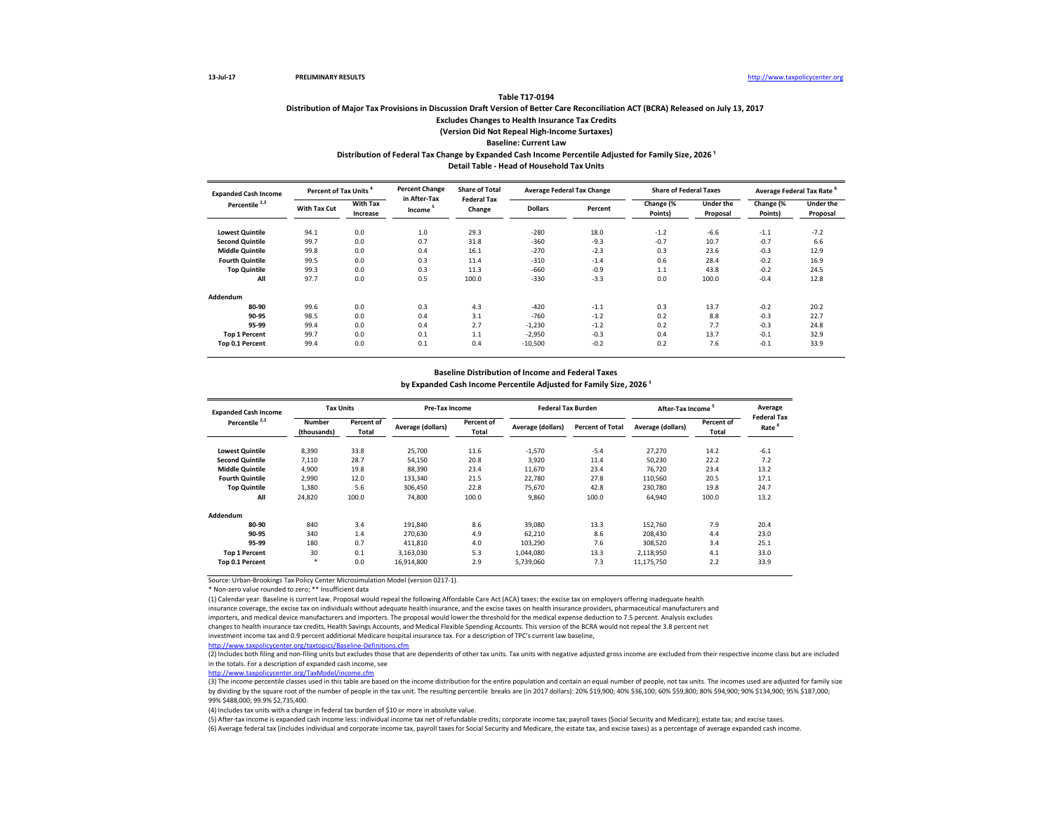## **Distribution of Major Tax Provisions in Discussion Draft Version of Better Care Reconciliation ACT (BCRA) Released on July 13, 2017 Excludes Changes to Health Insurance Tax Credits (Version Did Not Repeal High-Income Surtaxes) Baseline: Current Law Distribution of Federal Tax Change by Expanded Cash Income Percentile Adjusted for Family Size, 2026 ¹**

**Detail Table - Head of Household Tax Units**

| <b>Expanded Cash Income</b> |              | <b>Percent of Tax Units</b> |                                     | <b>Share of Total</b><br><b>Federal Tax</b> |                | <b>Average Federal Tax Change</b> | <b>Share of Federal Taxes</b> |                              | Average Federal Tax Rate |                              |
|-----------------------------|--------------|-----------------------------|-------------------------------------|---------------------------------------------|----------------|-----------------------------------|-------------------------------|------------------------------|--------------------------|------------------------------|
| Percentile <sup>2,3</sup>   | With Tax Cut | With Tax<br>Increase        | in After-Tax<br>Income <sup>5</sup> | Change                                      | <b>Dollars</b> | Percent                           | Change (%<br>Points)          | <b>Under the</b><br>Proposal | Change (%<br>Points)     | <b>Under the</b><br>Proposal |
| <b>Lowest Quintile</b>      | 94.1         | 0.0                         | 1.0                                 | 29.3                                        | $-280$         | 18.0                              | $-1.2$                        | $-6.6$                       | $-1.1$                   | $-7.2$                       |
| <b>Second Quintile</b>      | 99.7         | 0.0                         | 0.7                                 | 31.8                                        | $-360$         | $-9.3$                            | $-0.7$                        | 10.7                         | $-0.7$                   | 6.6                          |
| <b>Middle Quintile</b>      | 99.8         | 0.0                         | 0.4                                 | 16.1                                        | $-270$         | $-2.3$                            | 0.3                           | 23.6                         | $-0.3$                   | 12.9                         |
| <b>Fourth Quintile</b>      | 99.5         | 0.0                         | 0.3                                 | 11.4                                        | $-310$         | $-1.4$                            | 0.6                           | 28.4                         | $-0.2$                   | 16.9                         |
| <b>Top Quintile</b>         | 99.3         | 0.0                         | 0.3                                 | 11.3                                        | $-660$         | $-0.9$                            | 1.1                           | 43.8                         | $-0.2$                   | 24.5                         |
| All                         | 97.7         | 0.0                         | 0.5                                 | 100.0                                       | $-330$         | $-3.3$                            | 0.0                           | 100.0                        | $-0.4$                   | 12.8                         |
| Addendum                    |              |                             |                                     |                                             |                |                                   |                               |                              |                          |                              |
| 80-90                       | 99.6         | 0.0                         | 0.3                                 | 4.3                                         | $-420$         | $-1.1$                            | 0.3                           | 13.7                         | $-0.2$                   | 20.2                         |
| 90-95                       | 98.5         | 0.0                         | 0.4                                 | 3.1                                         | $-760$         | $-1.2$                            | 0.2                           | 8.8                          | $-0.3$                   | 22.7                         |
| 95-99                       | 99.4         | 0.0                         | 0.4                                 | 2.7                                         | $-1,230$       | $-1.2$                            | 0.2                           | 7.7                          | $-0.3$                   | 24.8                         |
| <b>Top 1 Percent</b>        | 99.7         | 0.0                         | 0.1                                 | 1.1                                         | $-2,950$       | $-0.3$                            | 0.4                           | 13.7                         | $-0.1$                   | 32.9                         |
| Top 0.1 Percent             | 99.4         | 0.0                         | 0.1                                 | 0.4                                         | $-10,500$      | $-0.2$                            | 0.2                           | 7.6                          | $-0.1$                   | 33.9                         |

### **Baseline Distribution of Income and Federal Taxes**

by Expanded Cash Income Percentile Adjusted for Family Size, 2026<sup>1</sup>

| <b>Expanded Cash Income</b> | <b>Tax Units</b>             |                     | Pre-Tax Income    |                            | <b>Federal Tax Burden</b> |                         | <b>After-Tax Income</b> |                     | Average                    |
|-----------------------------|------------------------------|---------------------|-------------------|----------------------------|---------------------------|-------------------------|-------------------------|---------------------|----------------------------|
| Percentile <sup>2,3</sup>   | <b>Number</b><br>(thousands) | Percent of<br>Total | Average (dollars) | Percent of<br><b>Total</b> | Average (dollars)         | <b>Percent of Total</b> | Average (dollars)       | Percent of<br>Total | <b>Federal Tax</b><br>Rate |
| <b>Lowest Quintile</b>      | 8,390                        | 33.8                | 25,700            | 11.6                       | $-1,570$                  | $-5.4$                  | 27,270                  | 14.2                | $-6.1$                     |
| <b>Second Quintile</b>      | 7.110                        | 28.7                | 54,150            | 20.8                       | 3,920                     | 11.4                    | 50,230                  | 22.2                | 7.2                        |
| <b>Middle Quintile</b>      | 4,900                        | 19.8                | 88,390            | 23.4                       | 11.670                    | 23.4                    | 76.720                  | 23.4                | 13.2                       |
| <b>Fourth Quintile</b>      | 2,990                        | 12.0                | 133,340           | 21.5                       | 22,780                    | 27.8                    | 110,560                 | 20.5                | 17.1                       |
| <b>Top Quintile</b>         | 1,380                        | 5.6                 | 306.450           | 22.8                       | 75.670                    | 42.8                    | 230,780                 | 19.8                | 24.7                       |
| All                         | 24,820                       | 100.0               | 74,800            | 100.0                      | 9.860                     | 100.0                   | 64,940                  | 100.0               | 13.2                       |
| Addendum                    |                              |                     |                   |                            |                           |                         |                         |                     |                            |
| 80-90                       | 840                          | 3.4                 | 191.840           | 8.6                        | 39.080                    | 13.3                    | 152.760                 | 7.9                 | 20.4                       |
| 90-95                       | 340                          | 1.4                 | 270.630           | 4.9                        | 62,210                    | 8.6                     | 208,430                 | 4.4                 | 23.0                       |
| 95-99                       | 180                          | 0.7                 | 411.810           | 4.0                        | 103.290                   | 7.6                     | 308,520                 | 3.4                 | 25.1                       |
| <b>Top 1 Percent</b>        | 30                           | 0.1                 | 3.163.030         | 5.3                        | 1,044,080                 | 13.3                    | 2,118,950               | 4.1                 | 33.0                       |
| Top 0.1 Percent             | $\ast$                       | 0.0                 | 16.914.800        | 2.9                        | 5,739,060                 | 7.3                     | 11,175,750              | 2.2                 | 33.9                       |

Source: Urban-Brookings Tax Policy Center Microsimulation Model (version 0217-1).

\* Non-zero value rounded to zero; \*\* Insufficient data

(1) Calendar year. Baseline is current law. Proposal would repeal the following Affordable Care Act (ACA) taxes: the excise tax on employers offering inadequate health insurance coverage, the excise tax on individuals without adequate health insurance, and the excise taxes on health insurance providers, pharmaceutical manufacturers and

importers, and medical device manufacturers and importers. The proposal would lower the threshold for the medical expense deduction to 7.5 percent. Analysis excludes changes to health insurance tax credits, Health Savings Accounts, and Medical Flexible Spending Accounts. This version of the BCRA would not repeal the 3.8 percent net

investment income tax and 0.9 percent additional Medicare hospital insurance tax. For a description of TPC's current law baseline,

<http://www.taxpolicycenter.org/taxtopics/Baseline-Definitions.cfm>

(2) Includes both filing and non-filing units but excludes those that are dependents of other tax units. Tax units with negative adjusted gross income are excluded from their respective income class but are included in the totals. For a description of expanded cash income, see

[http://www.taxpolicycente](http://www.taxpolicycenter.org/TaxModel/income.cfm)r.org/TaxModel/income.cfm

(3) The income percentile classes used in this table are based on the income distribution for the entire population and contain an equal number of people, not tax units. The incomes used are adjusted for family size by dividing by the square root of the number of people in the tax unit. The resulting percentile breaks are (in 2017 dollars): 20% \$19,900; 40% \$36,100; 60% \$59,800; 80% \$94,900; 90% \$134,900; 95% \$187,000; 99% \$488,000; 99.9% \$2,735,400.

(4) Includes tax units with a change in federal tax burden of \$10 or more in absolute value.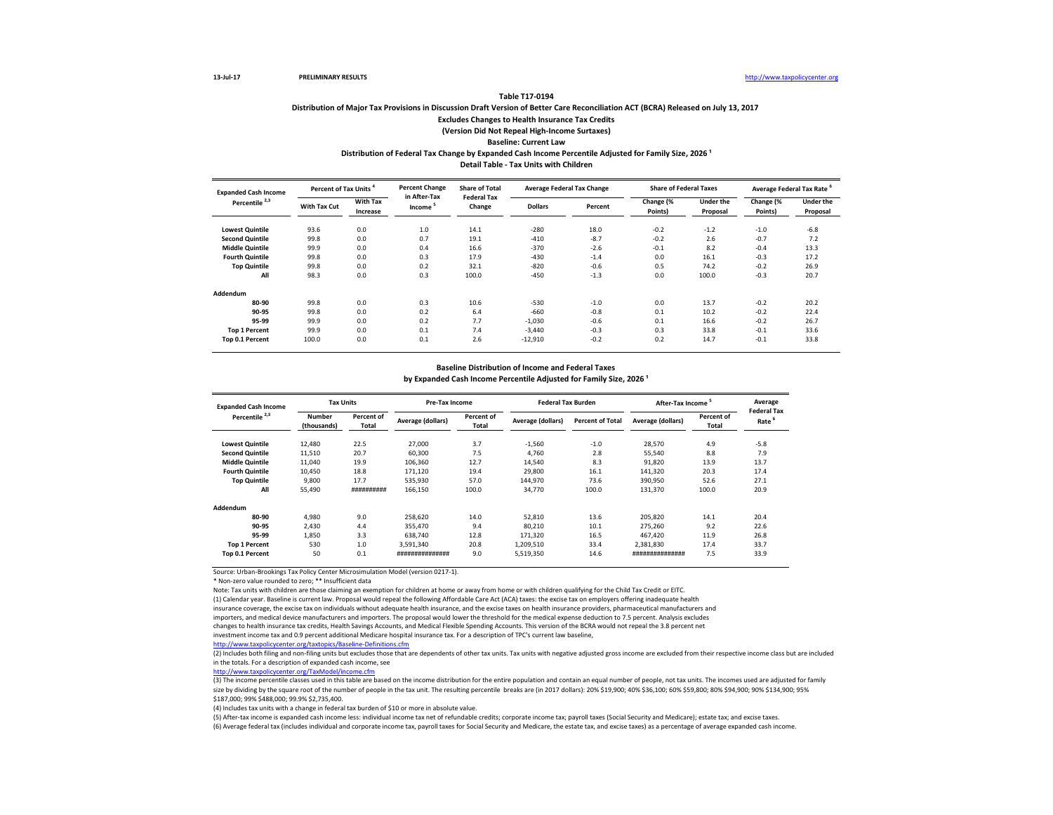# **Distribution of Major Tax Provisions in Discussion Draft Version of Better Care Reconciliation ACT (BCRA) Released on July 13, 2017 Excludes Changes to Health Insurance Tax Credits (Version Did Not Repeal High-Income Surtaxes) Baseline: Current Law Distribution of Federal Tax Change by Expanded Cash Income Percentile Adjusted for Family Size, 2026 ¹**

**Table T17-0194**

**Detail Table - Tax Units with Children**

| <b>Expanded Cash Income</b> |              | Percent of Tax Units        |                                     | <b>Share of Total</b><br><b>Federal Tax</b> |                | <b>Average Federal Tax Change</b> | <b>Share of Federal Taxes</b> |                              | Average Federal Tax Rate |                              |
|-----------------------------|--------------|-----------------------------|-------------------------------------|---------------------------------------------|----------------|-----------------------------------|-------------------------------|------------------------------|--------------------------|------------------------------|
| Percentile <sup>2,3</sup>   | With Tax Cut | <b>With Tax</b><br>Increase | in After-Tax<br>Income <sup>5</sup> | Change                                      | <b>Dollars</b> | Percent                           | Change (%<br>Points)          | <b>Under the</b><br>Proposal | Change (%<br>Points)     | <b>Under the</b><br>Proposal |
| <b>Lowest Quintile</b>      | 93.6         | 0.0                         | 1.0                                 | 14.1                                        | $-280$         | 18.0                              | $-0.2$                        | $-1.2$                       | $-1.0$                   | $-6.8$                       |
| <b>Second Quintile</b>      | 99.8         | 0.0                         | 0.7                                 | 19.1                                        | $-410$         | $-8.7$                            | $-0.2$                        | 2.6                          | $-0.7$                   | 7.2                          |
| <b>Middle Quintile</b>      | 99.9         | 0.0                         | 0.4                                 | 16.6                                        | $-370$         | $-2.6$                            | $-0.1$                        | 8.2                          | $-0.4$                   | 13.3                         |
| <b>Fourth Quintile</b>      | 99.8         | 0.0                         | 0.3                                 | 17.9                                        | $-430$         | $-1.4$                            | 0.0                           | 16.1                         | $-0.3$                   | 17.2                         |
| <b>Top Quintile</b>         | 99.8         | 0.0                         | 0.2                                 | 32.1                                        | $-820$         | $-0.6$                            | 0.5                           | 74.2                         | $-0.2$                   | 26.9                         |
| All                         | 98.3         | 0.0                         | 0.3                                 | 100.0                                       | $-450$         | $-1.3$                            | 0.0                           | 100.0                        | $-0.3$                   | 20.7                         |
| Addendum                    |              |                             |                                     |                                             |                |                                   |                               |                              |                          |                              |
| 80-90                       | 99.8         | 0.0                         | 0.3                                 | 10.6                                        | $-530$         | $-1.0$                            | 0.0                           | 13.7                         | $-0.2$                   | 20.2                         |
| 90-95                       | 99.8         | 0.0                         | 0.2                                 | 6.4                                         | $-660$         | $-0.8$                            | 0.1                           | 10.2                         | $-0.2$                   | 22.4                         |
| 95-99                       | 99.9         | 0.0                         | 0.2                                 | 7.7                                         | $-1,030$       | $-0.6$                            | 0.1                           | 16.6                         | $-0.2$                   | 26.7                         |
| <b>Top 1 Percent</b>        | 99.9         | 0.0                         | 0.1                                 | 7.4                                         | $-3,440$       | $-0.3$                            | 0.3                           | 33.8                         | $-0.1$                   | 33.6                         |
| Top 0.1 Percent             | 100.0        | 0.0                         | 0.1                                 | 2.6                                         | $-12,910$      | $-0.2$                            | 0.2                           | 14.7                         | $-0.1$                   | 33.8                         |

#### **Baseline Distribution of Income and Federal Taxes**

by Expanded Cash Income Percentile Adjusted for Family Size, 2026<sup>1</sup>

| <b>Expanded Cash Income</b> | <b>Tax Units</b>      |                     | Pre-Tax Income                           |       | <b>Federal Tax Burden</b> |                         | After-Tax Income <sup>5</sup> |                     | Average<br><b>Federal Tax</b> |
|-----------------------------|-----------------------|---------------------|------------------------------------------|-------|---------------------------|-------------------------|-------------------------------|---------------------|-------------------------------|
| Percentile <sup>2,3</sup>   | Number<br>(thousands) | Percent of<br>Total | Percent of<br>Average (dollars)<br>Total |       | Average (dollars)         | <b>Percent of Total</b> | Average (dollars)             | Percent of<br>Total | Rate <sup>6</sup>             |
| <b>Lowest Quintile</b>      | 12,480                | 22.5                | 27,000                                   | 3.7   | $-1,560$                  | $-1.0$                  | 28,570                        | 4.9                 | $-5.8$                        |
| <b>Second Quintile</b>      | 11,510                | 20.7                | 60,300                                   | 7.5   | 4.760                     | 2.8                     | 55,540                        | 8.8                 | 7.9                           |
| <b>Middle Quintile</b>      | 11,040                | 19.9                | 106,360                                  | 12.7  | 14,540                    | 8.3                     | 91,820                        | 13.9                | 13.7                          |
| <b>Fourth Quintile</b>      | 10,450                | 18.8                | 171,120                                  | 19.4  | 29,800                    | 16.1                    | 141,320                       | 20.3                | 17.4                          |
| <b>Top Quintile</b>         | 9,800                 | 17.7                | 535,930                                  | 57.0  | 144,970                   | 73.6                    | 390,950                       | 52.6                | 27.1                          |
| All                         | 55,490                | ##########          | 166.150                                  | 100.0 | 34,770                    | 100.0                   | 131.370                       | 100.0               | 20.9                          |
| Addendum                    |                       |                     |                                          |       |                           |                         |                               |                     |                               |
| 80-90                       | 4,980                 | 9.0                 | 258,620                                  | 14.0  | 52,810                    | 13.6                    | 205.820                       | 14.1                | 20.4                          |
| 90-95                       | 2,430                 | 4.4                 | 355,470                                  | 9.4   | 80,210                    | 10.1                    | 275,260                       | 9.2                 | 22.6                          |
| 95-99                       | 1,850                 | 3.3                 | 638.740                                  | 12.8  | 171,320                   | 16.5                    | 467.420                       | 11.9                | 26.8                          |
| <b>Top 1 Percent</b>        | 530                   | 1.0                 | 3.591.340                                | 20.8  | 1,209,510                 | 33.4                    | 2,381,830                     | 17.4                | 33.7                          |
| Top 0.1 Percent             | 50                    | 0.1                 | ###############                          | 9.0   | 5.519.350                 | 14.6                    | ###############               | 7.5                 | 33.9                          |

Source: Urban-Brookings Tax Policy Center Microsimulation Model (version 0217-1).

\* Non-zero value rounded to zero; \*\* Insufficient data

Note: Tax units with children are those claiming an exemption for children at home or away from home or with children qualifying for the Child Tax Credit or EITC.

(1) Calendar year. Baseline is current law. Proposal would repeal the following Affordable Care Act (ACA) taxes: the excise tax on employers offering inadequate health

insurance coverage, the excise tax on individuals without adequate health insurance, and the excise taxes on health insurance providers, pharmaceutical manufacturers and importers, and medical device manufacturers and importers. The proposal would lower the threshold for the medical expense deduction to 7.5 percent. Analysis excludes

changes to health insurance tax credits, Health Savings Accounts, and Medical Flexible Spending Accounts. This version of the BCRA would not repeal the 3.8 percent net

investment income tax and 0.9 percent additional Medicare hospital insurance tax. For a description of TPC's current law baseline, <http://www.taxpolicycenter.org/taxtopics/Baseline-Definitions.cfm>

(2) Includes both filing and non-filing units but excludes those that are dependents of other tax units. Tax units with negative adjusted gross income are excluded from their respective income class but are included in the totals. For a description of expanded cash income, see

[http://www.taxpolicycente](http://www.taxpolicycenter.org/TaxModel/income.cfm)r.org/TaxModel/income.cfm

(3) The income percentile classes used in this table are based on the income distribution for the entire population and contain an equal number of people, not tax units. The incomes used are adjusted for family size by dividing by the square root of the number of people in the tax unit. The resulting percentile breaks are (in 2017 dollars): 20% \$19,900; 40% \$36,100; 60% \$59,800; 80% \$94,900; 90% \$134,900; 95% \$187,000; 99% \$488,000; 99.9% \$2,735,400.

(4) Includes tax units with a change in federal tax burden of \$10 or more in absolute value.

(5) After-tax income is expanded cash income less: individual income tax net of refundable credits; corporate income tax; payroll taxes (Social Security and Medicare); estate tax; and excise taxes.

(6) Average federal tax (includes individual and corporate income tax, payroll taxes for Social Security and Medicare, the estate tax, and excise taxes) as a percentage of average expanded cash income.